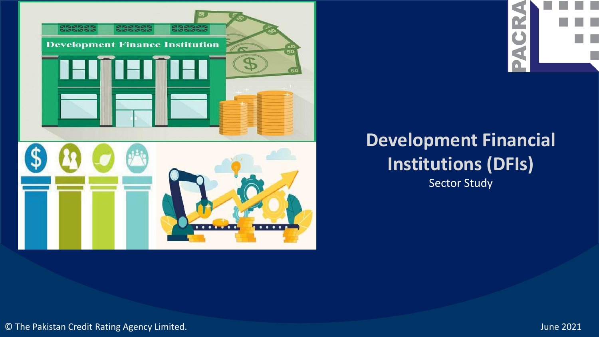

# CR.  $\Box$

# **Development Financial Institutions (DFIs)**

Sector Study

© The Pakistan Credit Rating Agency Limited. June 2021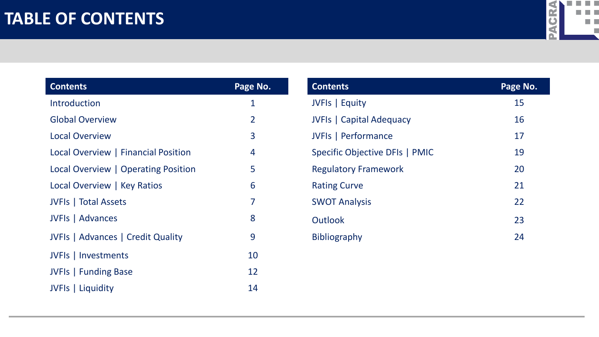### **TABLE OF CONTENTS**



| <b>Contents</b>                     | Page No.       |
|-------------------------------------|----------------|
| Introduction                        | 1              |
| <b>Global Overview</b>              | $\overline{2}$ |
| <b>Local Overview</b>               | 3              |
| Local Overview   Financial Position | 4              |
| Local Overview   Operating Position | 5              |
| Local Overview   Key Ratios         | 6              |
| <b>JVFIs</b>   Total Assets         | 7              |
| <b>JVFIs</b>   Advances             | 8              |
| JVFIs   Advances   Credit Quality   | 9              |
| JVFIs   Investments                 | 10             |
| <b>JVFIs</b>   Funding Base         | 12             |
| JVFIs   Liquidity                   | 14             |

| <b>Contents</b>                 | Page No. |
|---------------------------------|----------|
| JVFIs   Equity                  | 15       |
| <b>JVFIs</b>   Capital Adequacy | 16       |
| <b>JVFIs   Performance</b>      | 17       |
| Specific Objective DFIs   PMIC  | 19       |
| <b>Regulatory Framework</b>     | 20       |
| <b>Rating Curve</b>             | 21       |
| <b>SWOT Analysis</b>            | 22       |
| <b>Outlook</b>                  | 23       |
| <b>Bibliography</b>             | 24       |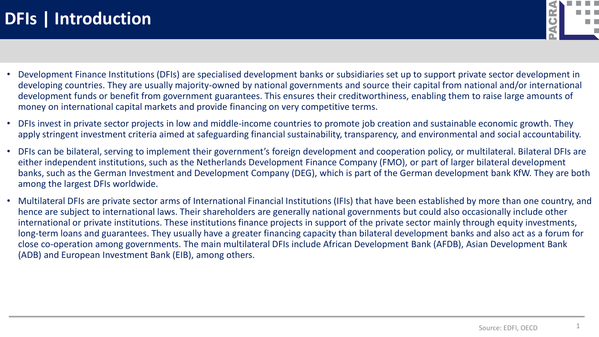

- Development Finance Institutions (DFIs) are specialised development banks or subsidiaries set up to support private sector development in developing countries. They are usually majority-owned by national governments and source their capital from national and/or international development funds or benefit from government guarantees. This ensures their creditworthiness, enabling them to raise large amounts of money on international capital markets and provide financing on very competitive terms.
- DFIs invest in private sector projects in low and middle-income countries to promote job creation and sustainable economic growth. They apply stringent investment criteria aimed at safeguarding financial sustainability, transparency, and environmental and social accountability.
- DFIs can be bilateral, serving to implement their government's foreign development and cooperation policy, or multilateral. Bilateral DFIs are either independent institutions, such as the Netherlands Development Finance Company (FMO), or part of larger bilateral development banks, such as the German Investment and Development Company (DEG), which is part of the German development bank KfW. They are both among the largest DFIs worldwide.
- Multilateral DFIs are private sector arms of International Financial Institutions (IFIs) that have been established by more than one country, and hence are subject to international laws. Their shareholders are generally national governments but could also occasionally include other international or private institutions. These institutions finance projects in support of the private sector mainly through equity investments, long-term loans and guarantees. They usually have a greater financing capacity than bilateral development banks and also act as a forum for close co-operation among governments. The main multilateral DFIs include African Development Bank (AFDB), Asian Development Bank (ADB) and European Investment Bank (EIB), among others.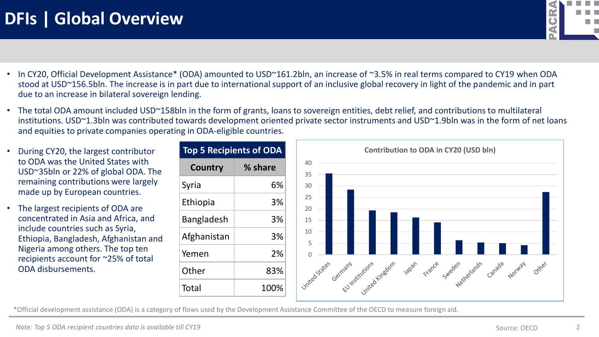

- In CY20, Official Development Assistance\* (ODA) amounted to USD~161.2bln, an increase of ~3.5% in real terms compared to CY19 when ODA stood at USD~156.5bln. The increase is in part due to international support of an inclusive global recovery in light of the pandemic and in part due to an increase in bilateral sovereign lending.
- The total ODA amount included USD~158bln in the form of grants, loans to sovereign entities, debt relief, and contributions to multilateral institutions. USD~1.3bln was contributed towards development oriented private sector instruments and USD~1.9bln was in the form of net loans and equities to private companies operating in ODA-eligible countries.
- **•** During CY20, the largest contributor to ODA was the United States with USD~35bln or 22% of global ODA. The remaining contributions were largely made up by European countries.
- The largest recipients of ODA are concentrated in Asia and Africa, and include countries such as Syria, Ethiopia, Bangladesh, Afghanistan and Nigeria among others. The top ten recipients account for ~25% of total ODA disbursements.

| Top 5 Recipients of ODA |
|-------------------------|
| % share                 |
| 6%                      |
| 3%                      |
| 3%                      |
| 3%                      |
| 2%                      |
| 83%                     |
| 100%                    |
|                         |

\*Official development assistance (ODA) is a category of flows used by the Development Assistance Committee of the OECD to measure foreign aid.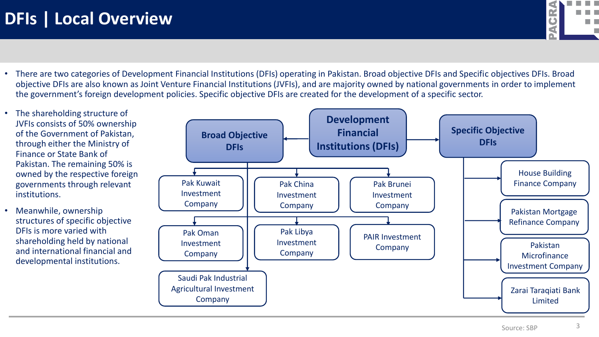

- There are two categories of Development Financial Institutions (DFIs) operating in Pakistan. Broad objective DFIs and Specific objectives DFIs. Broad objective DFIs are also known as Joint Venture Financial Institutions (JVFIs), and are majority owned by national governments in order to implement the government's foreign development policies. Specific objective DFIs are created for the development of a specific sector.
- The shareholding structure of JVFIs consists of 50% ownership of the Government of Pakistan, through either the Ministry of Finance or State Bank of Pakistan. The remaining 50% is owned by the respective foreign governments through relevant institutions.
- Meanwhile, ownership structures of specific objective DFIs is more varied with shareholding held by national and international financial and developmental institutions.

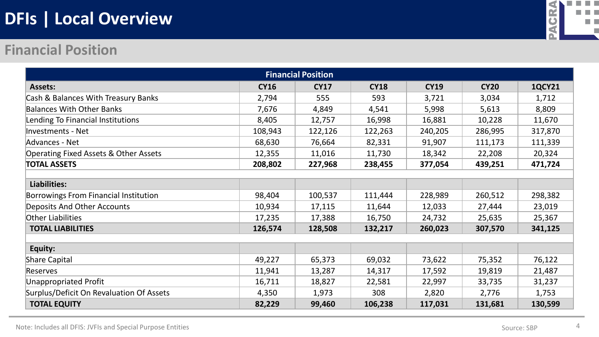# **DFIs | Local Overview**



#### **Financial Position**

| <b>Financial Position</b>                        |             |             |             |             |             |               |  |  |  |  |  |
|--------------------------------------------------|-------------|-------------|-------------|-------------|-------------|---------------|--|--|--|--|--|
| <b>Assets:</b>                                   | <b>CY16</b> | <b>CY17</b> | <b>CY18</b> | <b>CY19</b> | <b>CY20</b> | <b>1QCY21</b> |  |  |  |  |  |
| Cash & Balances With Treasury Banks              | 2,794       | 555         | 593         | 3,721       | 3,034       | 1,712         |  |  |  |  |  |
| <b>Balances With Other Banks</b>                 | 7,676       | 4,849       | 4,541       | 5,998       | 5,613       | 8,809         |  |  |  |  |  |
| Lending To Financial Institutions                | 8,405       | 12,757      | 16,998      | 16,881      | 10,228      | 11,670        |  |  |  |  |  |
| <b>Investments - Net</b>                         | 108,943     | 122,126     | 122,263     | 240,205     | 286,995     | 317,870       |  |  |  |  |  |
| Advances - Net                                   | 68,630      | 76,664      | 82,331      | 91,907      | 111,173     | 111,339       |  |  |  |  |  |
| <b>Operating Fixed Assets &amp; Other Assets</b> | 12,355      | 11,016      | 11,730      | 18,342      | 22,208      | 20,324        |  |  |  |  |  |
| <b>TOTAL ASSETS</b>                              | 208,802     | 227,968     | 238,455     | 377,054     | 439,251     | 471,724       |  |  |  |  |  |
|                                                  |             |             |             |             |             |               |  |  |  |  |  |
| Liabilities:                                     |             |             |             |             |             |               |  |  |  |  |  |
| <b>Borrowings From Financial Institution</b>     | 98,404      | 100,537     | 111,444     | 228,989     | 260,512     | 298,382       |  |  |  |  |  |
| Deposits And Other Accounts                      | 10,934      | 17,115      | 11,644      | 12,033      | 27,444      | 23,019        |  |  |  |  |  |
| Other Liabilities                                | 17,235      | 17,388      | 16,750      | 24,732      | 25,635      | 25,367        |  |  |  |  |  |
| <b>TOTAL LIABILITIES</b>                         | 126,574     | 128,508     | 132,217     | 260,023     | 307,570     | 341,125       |  |  |  |  |  |
|                                                  |             |             |             |             |             |               |  |  |  |  |  |
| Equity:                                          |             |             |             |             |             |               |  |  |  |  |  |
| <b>Share Capital</b>                             | 49,227      | 65,373      | 69,032      | 73,622      | 75,352      | 76,122        |  |  |  |  |  |
| <b>Reserves</b>                                  | 11,941      | 13,287      | 14,317      | 17,592      | 19,819      | 21,487        |  |  |  |  |  |
| <b>Unappropriated Profit</b>                     | 16,711      | 18,827      | 22,581      | 22,997      | 33,735      | 31,237        |  |  |  |  |  |
| Surplus/Deficit On Revaluation Of Assets         | 4,350       | 1,973       | 308         | 2,820       | 2,776       | 1,753         |  |  |  |  |  |
| <b>TOTAL EQUITY</b>                              | 82,229      | 99,460      | 106,238     | 117,031     | 131,681     | 130,599       |  |  |  |  |  |

Note: Includes all DFIS: JVFIs and Special Purpose Entities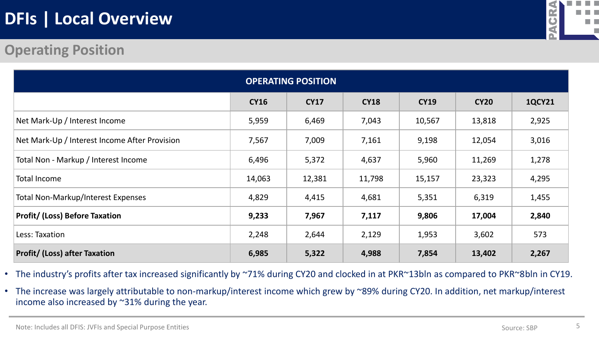# **DFIs | Local Overview**



### **Operating Position**

|                                               | <b>OPERATING POSITION</b> |             |             |             |             |               |  |  |  |  |  |  |
|-----------------------------------------------|---------------------------|-------------|-------------|-------------|-------------|---------------|--|--|--|--|--|--|
|                                               | <b>CY16</b>               | <b>CY17</b> | <b>CY18</b> | <b>CY19</b> | <b>CY20</b> | <b>1QCY21</b> |  |  |  |  |  |  |
| Net Mark-Up / Interest Income                 | 5,959                     | 6,469       | 7,043       | 10,567      | 13,818      | 2,925         |  |  |  |  |  |  |
| Net Mark-Up / Interest Income After Provision | 7,567                     | 7,009       | 7,161       | 9,198       | 12,054      | 3,016         |  |  |  |  |  |  |
| Total Non - Markup / Interest Income          | 6,496                     | 5,372       | 4,637       | 5,960       | 11,269      | 1,278         |  |  |  |  |  |  |
| Total Income                                  | 14,063                    | 12,381      | 11,798      | 15,157      | 23,323      | 4,295         |  |  |  |  |  |  |
| <b>Total Non-Markup/Interest Expenses</b>     | 4,829                     | 4,415       | 4,681       | 5,351       | 6,319       | 1,455         |  |  |  |  |  |  |
| <b>Profit/ (Loss) Before Taxation</b>         | 9,233                     | 7,967       | 7,117       | 9,806       | 17,004      | 2,840         |  |  |  |  |  |  |
| Less: Taxation                                | 2,248                     | 2,644       | 2,129       | 1,953       | 3,602       | 573           |  |  |  |  |  |  |
| <b>Profit/ (Loss) after Taxation</b>          | 6,985                     | 5,322       | 4,988       | 7,854       | 13,402      | 2,267         |  |  |  |  |  |  |

- The industry's profits after tax increased significantly by ~71% during CY20 and clocked in at PKR~13bln as compared to PKR~8bln in CY19.
- The increase was largely attributable to non-markup/interest income which grew by ~89% during CY20. In addition, net markup/interest income also increased by ~31% during the year.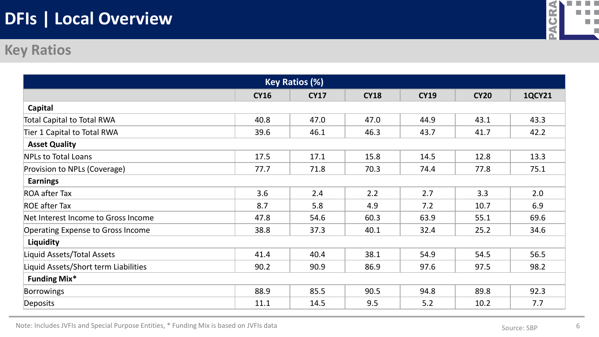# **DFIs | Local Overview**



#### **Key Ratios**

| <b>Key Ratios (%)</b>                    |             |             |             |             |             |               |  |  |  |  |  |
|------------------------------------------|-------------|-------------|-------------|-------------|-------------|---------------|--|--|--|--|--|
|                                          | <b>CY16</b> | <b>CY17</b> | <b>CY18</b> | <b>CY19</b> | <b>CY20</b> | <b>1QCY21</b> |  |  |  |  |  |
| Capital                                  |             |             |             |             |             |               |  |  |  |  |  |
| <b>Total Capital to Total RWA</b>        | 40.8        | 47.0        | 47.0        | 44.9        | 43.1        | 43.3          |  |  |  |  |  |
| Tier 1 Capital to Total RWA              | 39.6        | 46.1        | 46.3        | 43.7        | 41.7        | 42.2          |  |  |  |  |  |
| <b>Asset Quality</b>                     |             |             |             |             |             |               |  |  |  |  |  |
| <b>NPLs to Total Loans</b>               | 17.5        | 17.1        | 15.8        | 14.5        | 12.8        | 13.3          |  |  |  |  |  |
| Provision to NPLs (Coverage)             | 77.7        | 71.8        | 70.3        | 74.4        | 77.8        | 75.1          |  |  |  |  |  |
| <b>Earnings</b>                          |             |             |             |             |             |               |  |  |  |  |  |
| <b>ROA after Tax</b>                     | 3.6         | 2.4         | 2.2         | 2.7         | 3.3         | 2.0           |  |  |  |  |  |
| <b>ROE after Tax</b>                     | 8.7         | 5.8         | 4.9         | 7.2         | 10.7        | 6.9           |  |  |  |  |  |
| Net Interest Income to Gross Income      | 47.8        | 54.6        | 60.3        | 63.9        | 55.1        | 69.6          |  |  |  |  |  |
| <b>Operating Expense to Gross Income</b> | 38.8        | 37.3        | 40.1        | 32.4        | 25.2        | 34.6          |  |  |  |  |  |
| Liquidity                                |             |             |             |             |             |               |  |  |  |  |  |
| Liquid Assets/Total Assets               | 41.4        | 40.4        | 38.1        | 54.9        | 54.5        | 56.5          |  |  |  |  |  |
| iquid Assets/Short term Liabilities      | 90.2        | 90.9        | 86.9        | 97.6        | 97.5        | 98.2          |  |  |  |  |  |
| <b>Funding Mix*</b>                      |             |             |             |             |             |               |  |  |  |  |  |
| <b>Borrowings</b>                        | 88.9        | 85.5        | 90.5        | 94.8        | 89.8        | 92.3          |  |  |  |  |  |
| <b>Deposits</b>                          | 11.1        | 14.5        | 9.5         | 5.2         | 10.2        | 7.7           |  |  |  |  |  |

Note: Includes JVFIs and Special Purpose Entities, \* Funding Mix is based on JVFIs data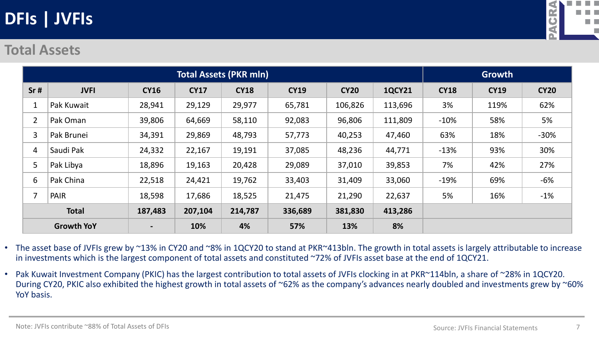

#### **Total Assets**

|                | <b>Total Assets (PKR mln)</b> |             |             |             |             |             |               |             | <b>Growth</b> |             |  |
|----------------|-------------------------------|-------------|-------------|-------------|-------------|-------------|---------------|-------------|---------------|-------------|--|
| Sr#            | <b>JVFI</b>                   | <b>CY16</b> | <b>CY17</b> | <b>CY18</b> | <b>CY19</b> | <b>CY20</b> | <b>1QCY21</b> | <b>CY18</b> | <b>CY19</b>   | <b>CY20</b> |  |
| Ŧ.             | Pak Kuwait                    | 28,941      | 29,129      | 29,977      | 65,781      | 106,826     | 113,696       | 3%          | 119%          | 62%         |  |
| $\overline{2}$ | Pak Oman                      | 39,806      | 64,669      | 58,110      | 92,083      | 96,806      | 111,809       | $-10%$      | 58%           | 5%          |  |
| 3              | Pak Brunei                    | 34,391      | 29,869      | 48,793      | 57,773      | 40,253      | 47,460        | 63%         | 18%           | $-30%$      |  |
| 4              | Saudi Pak                     | 24,332      | 22,167      | 19,191      | 37,085      | 48,236      | 44,771        | $-13%$      | 93%           | 30%         |  |
| 5              | Pak Libya                     | 18,896      | 19,163      | 20,428      | 29,089      | 37,010      | 39,853        | 7%          | 42%           | 27%         |  |
| 6              | Pak China                     | 22,518      | 24,421      | 19,762      | 33,403      | 31,409      | 33,060        | $-19%$      | 69%           | -6%         |  |
|                | PAIR                          | 18,598      | 17,686      | 18,525      | 21,475      | 21,290      | 22,637        | 5%          | 16%           | $-1\%$      |  |
|                | <b>Total</b>                  | 187,483     | 207,104     | 214,787     | 336,689     | 381,830     | 413,286       |             |               |             |  |
|                | <b>Growth YoY</b>             |             | 10%         | 4%          | 57%         | 13%         | 8%            |             |               |             |  |

• The asset base of JVFIs grew by ~13% in CY20 and ~8% in 1QCY20 to stand at PKR~413bln. The growth in total assets is largely attributable to increase in investments which is the largest component of total assets and constituted ~72% of JVFIs asset base at the end of 1QCY21.

• Pak Kuwait Investment Company (PKIC) has the largest contribution to total assets of JVFIs clocking in at PKR~114bln, a share of ~28% in 1QCY20. During CY20, PKIC also exhibited the highest growth in total assets of ~62% as the company's advances nearly doubled and investments grew by ~60% YoY basis.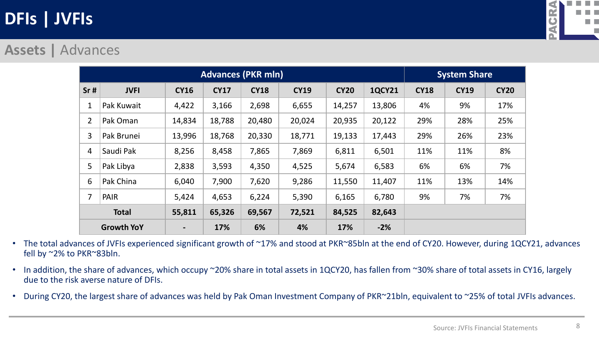

#### **Assets |** Advances

|                | <b>Advances (PKR mln)</b> |                              |             |             |             |             |               |             | <b>System Share</b> |             |  |
|----------------|---------------------------|------------------------------|-------------|-------------|-------------|-------------|---------------|-------------|---------------------|-------------|--|
| Sr#            | <b>JVFI</b>               | <b>CY16</b>                  | <b>CY17</b> | <b>CY18</b> | <b>CY19</b> | <b>CY20</b> | <b>1QCY21</b> | <b>CY18</b> | <b>CY19</b>         | <b>CY20</b> |  |
|                | Pak Kuwait                | 4,422                        | 3,166       | 2,698       | 6,655       | 14,257      | 13,806        | 4%          | 9%                  | 17%         |  |
| $\overline{2}$ | Pak Oman                  | 14,834                       | 18,788      | 20,480      | 20,024      | 20,935      | 20,122        | 29%         | 28%                 | 25%         |  |
| 3              | Pak Brunei                | 13,996                       | 18,768      | 20,330      | 18,771      | 19,133      | 17,443        | 29%         | 26%                 | 23%         |  |
| 4              | Saudi Pak                 | 8,256                        | 8,458       | 7,865       | 7,869       | 6,811       | 6,501         | 11%         | 11%                 | 8%          |  |
| 5              | Pak Libya                 | 2,838                        | 3,593       | 4,350       | 4,525       | 5,674       | 6,583         | 6%          | 6%                  | 7%          |  |
| 6              | Pak China                 | 6,040                        | 7,900       | 7,620       | 9,286       | 11,550      | 11,407        | 11%         | 13%                 | 14%         |  |
| 7              | <b>PAIR</b>               | 5,424                        | 4,653       | 6,224       | 5,390       | 6,165       | 6,780         | 9%          | 7%                  | 7%          |  |
|                | <b>Total</b>              | 55,811                       | 65,326      | 69,567      | 72,521      | 84,525      | 82,643        |             |                     |             |  |
|                | <b>Growth YoY</b>         | $\qquad \qquad \blacksquare$ | 17%         | 6%          | 4%          | 17%         | $-2%$         |             |                     |             |  |

- The total advances of JVFIs experienced significant growth of ~17% and stood at PKR~85bln at the end of CY20. However, during 1QCY21, advances fell by ~2% to PKR~83bln.
- In addition, the share of advances, which occupy ~20% share in total assets in 1QCY20, has fallen from ~30% share of total assets in CY16, largely due to the risk averse nature of DFIs.
- During CY20, the largest share of advances was held by Pak Oman Investment Company of PKR~21bln, equivalent to ~25% of total JVFIs advances.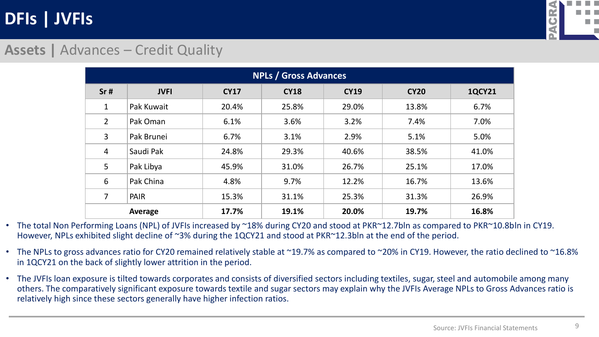

### **Assets |** Advances – Credit Quality

|                | <b>NPLs / Gross Advances</b> |             |             |             |             |               |  |  |  |  |  |
|----------------|------------------------------|-------------|-------------|-------------|-------------|---------------|--|--|--|--|--|
| Sr#            | <b>JVFI</b>                  | <b>CY17</b> | <b>CY18</b> | <b>CY19</b> | <b>CY20</b> | <b>1QCY21</b> |  |  |  |  |  |
| $\mathbf 1$    | Pak Kuwait                   | 20.4%       | 25.8%       | 29.0%       | 13.8%       | 6.7%          |  |  |  |  |  |
| $\overline{2}$ | Pak Oman                     | 6.1%        | 3.6%        | 3.2%        | 7.4%        | 7.0%          |  |  |  |  |  |
| 3              | Pak Brunei                   | 6.7%        | 3.1%        | 2.9%        | 5.1%        | 5.0%          |  |  |  |  |  |
| 4              | Saudi Pak                    | 24.8%       | 29.3%       | 40.6%       | 38.5%       | 41.0%         |  |  |  |  |  |
| 5              | Pak Libya                    | 45.9%       | 31.0%       | 26.7%       | 25.1%       | 17.0%         |  |  |  |  |  |
| 6              | Pak China                    | 4.8%        | 9.7%        | 12.2%       | 16.7%       | 13.6%         |  |  |  |  |  |
| 7              | <b>PAIR</b>                  | 15.3%       | 31.1%       | 25.3%       | 31.3%       | 26.9%         |  |  |  |  |  |
|                | Average                      | 17.7%       | 19.1%       | 20.0%       | 19.7%       | 16.8%         |  |  |  |  |  |

• The total Non Performing Loans (NPL) of JVFIs increased by ~18% during CY20 and stood at PKR~12.7bln as compared to PKR~10.8bln in CY19. However, NPLs exhibited slight decline of ~3% during the 1QCY21 and stood at PKR~12.3bln at the end of the period.

- The NPLs to gross advances ratio for CY20 remained relatively stable at ~19.7% as compared to ~20% in CY19. However, the ratio declined to ~16.8% in 1QCY21 on the back of slightly lower attrition in the period.
- The JVFIs loan exposure is tilted towards corporates and consists of diversified sectors including textiles, sugar, steel and automobile among many others. The comparatively significant exposure towards textile and sugar sectors may explain why the JVFIs Average NPLs to Gross Advances ratio is relatively high since these sectors generally have higher infection ratios.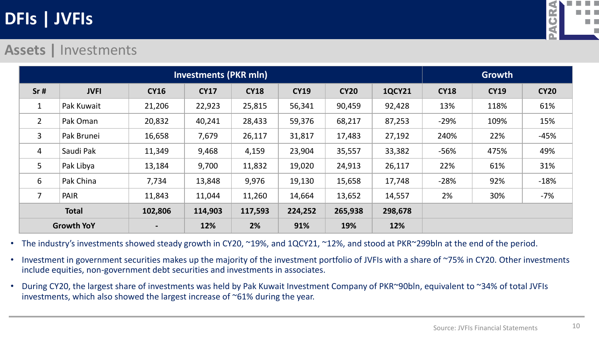

#### **Assets |** Investments

|                | <b>Investments (PKR mln)</b> |                |             |             |             |             |               |             |             | Growth      |  |  |
|----------------|------------------------------|----------------|-------------|-------------|-------------|-------------|---------------|-------------|-------------|-------------|--|--|
| Sr#            | <b>JVFI</b>                  | <b>CY16</b>    | <b>CY17</b> | <b>CY18</b> | <b>CY19</b> | <b>CY20</b> | <b>1QCY21</b> | <b>CY18</b> | <b>CY19</b> | <b>CY20</b> |  |  |
| 1              | Pak Kuwait                   | 21,206         | 22,923      | 25,815      | 56,341      | 90,459      | 92,428        | 13%         | 118%        | 61%         |  |  |
| $\overline{2}$ | Pak Oman                     | 20,832         | 40,241      | 28,433      | 59,376      | 68,217      | 87,253        | $-29%$      | 109%        | 15%         |  |  |
| 3              | Pak Brunei                   | 16,658         | 7,679       | 26,117      | 31,817      | 17,483      | 27,192        | 240%        | 22%         | $-45%$      |  |  |
| 4              | Saudi Pak                    | 11,349         | 9,468       | 4,159       | 23,904      | 35,557      | 33,382        | $-56%$      | 475%        | 49%         |  |  |
| 5              | Pak Libya                    | 13,184         | 9,700       | 11,832      | 19,020      | 24,913      | 26,117        | 22%         | 61%         | 31%         |  |  |
| 6              | Pak China                    | 7,734          | 13,848      | 9,976       | 19,130      | 15,658      | 17,748        | $-28%$      | 92%         | $-18%$      |  |  |
| $\overline{7}$ | PAIR                         | 11,843         | 11,044      | 11,260      | 14,664      | 13,652      | 14,557        | 2%          | 30%         | $-7%$       |  |  |
|                | <b>Total</b>                 | 102,806        | 114,903     | 117,593     | 224,252     | 265,938     | 298,678       |             |             |             |  |  |
|                | <b>Growth YoY</b>            | $\blacksquare$ | 12%         | 2%          | 91%         | 19%         | 12%           |             |             |             |  |  |

• The industry's investments showed steady growth in CY20, ~19%, and 1QCY21, ~12%, and stood at PKR~299bln at the end of the period.

- Investment in government securities makes up the majority of the investment portfolio of JVFIs with a share of ~75% in CY20. Other investments include equities, non-government debt securities and investments in associates.
- During CY20, the largest share of investments was held by Pak Kuwait Investment Company of PKR~90bln, equivalent to ~34% of total JVFIs investments, which also showed the largest increase of ~61% during the year.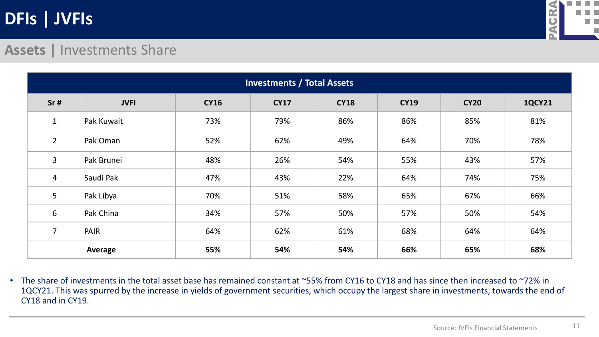

#### **Assets |** Investments Share

|                | <b>Investments / Total Assets</b> |             |             |             |             |             |               |  |  |  |  |
|----------------|-----------------------------------|-------------|-------------|-------------|-------------|-------------|---------------|--|--|--|--|
| Sr#            | <b>JVFI</b>                       | <b>CY16</b> | <b>CY17</b> | <b>CY18</b> | <b>CY19</b> | <b>CY20</b> | <b>1QCY21</b> |  |  |  |  |
| 1              | Pak Kuwait                        | 73%         | 79%         | 86%         | 86%         | 85%         | 81%           |  |  |  |  |
| $\overline{2}$ | Pak Oman                          | 52%         | 62%         | 49%         | 64%         | 70%         | 78%           |  |  |  |  |
| 3              | Pak Brunei                        | 48%         | 26%         | 54%         | 55%         | 43%         | 57%           |  |  |  |  |
| $\overline{4}$ | Saudi Pak                         | 47%         | 43%         | 22%         | 64%         | 74%         | 75%           |  |  |  |  |
| 5              | Pak Libya                         | 70%         | 51%         | 58%         | 65%         | 67%         | 66%           |  |  |  |  |
| 6              | Pak China                         | 34%         | 57%         | 50%         | 57%         | 50%         | 54%           |  |  |  |  |
| $\overline{7}$ | PAIR                              | 64%         | 62%         | 61%         | 68%         | 64%         | 64%           |  |  |  |  |
|                | Average                           | 55%         | 54%         | 54%         | 66%         | 65%         | 68%           |  |  |  |  |

• The share of investments in the total asset base has remained constant at ~55% from CY16 to CY18 and has since then increased to ~72% in 1QCY21. This was spurred by the increase in yields of government securities, which occupy the largest share in investments, towards the end of CY18 and in CY19.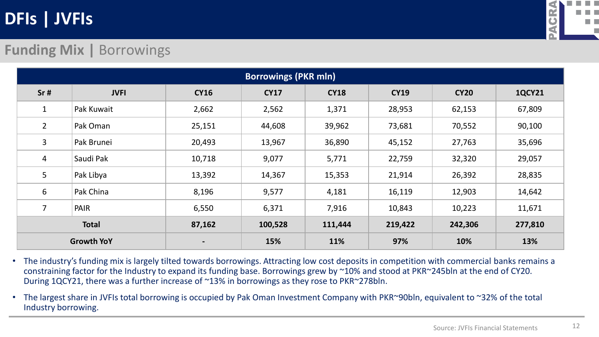

### **Funding Mix |** Borrowings

|                   | <b>Borrowings (PKR mln)</b> |             |             |             |             |             |               |  |  |  |  |
|-------------------|-----------------------------|-------------|-------------|-------------|-------------|-------------|---------------|--|--|--|--|
| Sr#               | <b>JVFI</b>                 | <b>CY16</b> | <b>CY17</b> | <b>CY18</b> | <b>CY19</b> | <b>CY20</b> | <b>1QCY21</b> |  |  |  |  |
| $\mathbf 1$       | Pak Kuwait                  | 2,662       | 2,562       | 1,371       | 28,953      | 62,153      | 67,809        |  |  |  |  |
| $\overline{2}$    | Pak Oman                    | 25,151      | 44,608      | 39,962      | 73,681      | 70,552      | 90,100        |  |  |  |  |
| 3                 | Pak Brunei                  | 20,493      | 13,967      | 36,890      | 45,152      | 27,763      | 35,696        |  |  |  |  |
| 4                 | Saudi Pak                   | 10,718      | 9,077       | 5,771       | 22,759      | 32,320      | 29,057        |  |  |  |  |
| 5                 | Pak Libya                   | 13,392      | 14,367      | 15,353      | 21,914      | 26,392      | 28,835        |  |  |  |  |
| 6                 | Pak China                   | 8,196       | 9,577       | 4,181       | 16,119      | 12,903      | 14,642        |  |  |  |  |
| $\overline{7}$    | <b>PAIR</b>                 | 6,550       | 6,371       | 7,916       | 10,843      | 10,223      | 11,671        |  |  |  |  |
|                   | <b>Total</b>                | 87,162      | 100,528     | 111,444     | 219,422     | 242,306     | 277,810       |  |  |  |  |
| <b>Growth YoY</b> |                             |             | 15%         | 11%         | 97%         | 10%         | 13%           |  |  |  |  |

• The industry's funding mix is largely tilted towards borrowings. Attracting low cost deposits in competition with commercial banks remains a constraining factor for the Industry to expand its funding base. Borrowings grew by ~10% and stood at PKR~245bln at the end of CY20. During 1QCY21, there was a further increase of ~13% in borrowings as they rose to PKR~278bln.

• The largest share in JVFIs total borrowing is occupied by Pak Oman Investment Company with PKR~90bln, equivalent to ~32% of the total Industry borrowing.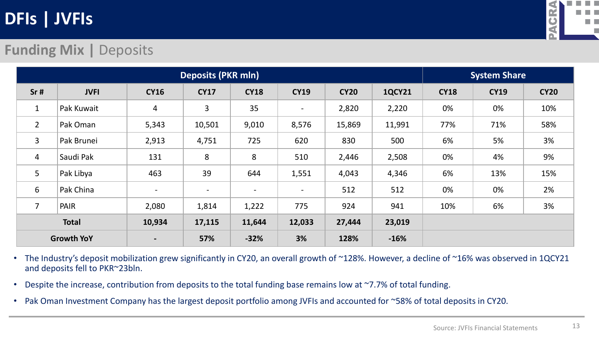

### **Funding Mix | Deposits**

|                |                   | System Share   |              |                          |                          |             |               |             |             |             |
|----------------|-------------------|----------------|--------------|--------------------------|--------------------------|-------------|---------------|-------------|-------------|-------------|
| Sr#            | <b>JVFI</b>       | <b>CY16</b>    | <b>CY17</b>  | <b>CY18</b>              | <b>CY19</b>              | <b>CY20</b> | <b>1QCY21</b> | <b>CY18</b> | <b>CY19</b> | <b>CY20</b> |
| $\mathbf{1}$   | Pak Kuwait        | $\overline{4}$ | $\mathbf{3}$ | 35                       | $\overline{\phantom{a}}$ | 2,820       | 2,220         | 0%          | 0%          | 10%         |
| $2^{\circ}$    | Pak Oman          | 5,343          | 10,501       | 9,010                    | 8,576                    | 15,869      | 11,991        | 77%         | 71%         | 58%         |
| 3              | Pak Brunei        | 2,913          | 4,751        | 725                      | 620                      | 830         | 500           | 6%          | 5%          | 3%          |
| $\overline{4}$ | Saudi Pak         | 131            | 8            | 8                        | 510                      | 2,446       | 2,508         | 0%          | 4%          | 9%          |
| 5              | Pak Libya         | 463            | 39           | 644                      | 1,551                    | 4,043       | 4,346         | 6%          | 13%         | 15%         |
| 6              | Pak China         | $\sim$         | $\sim$       | $\overline{\phantom{a}}$ | $\overline{\phantom{a}}$ | 512         | 512           | 0%          | 0%          | 2%          |
| $\overline{7}$ | PAIR              | 2,080          | 1,814        | 1,222                    | 775                      | 924         | 941           | 10%         | 6%          | 3%          |
|                | <b>Total</b>      | 10,934         | 17,115       | 11,644                   | 12,033                   | 27,444      | 23,019        |             |             |             |
|                | <b>Growth YoY</b> | $\blacksquare$ | 57%          | $-32%$                   | 3%                       | 128%        | $-16%$        |             |             |             |

- The Industry's deposit mobilization grew significantly in CY20, an overall growth of ~128%. However, a decline of ~16% was observed in 1QCY21 and deposits fell to PKR~23bln.
- Despite the increase, contribution from deposits to the total funding base remains low at ~7.7% of total funding.
- Pak Oman Investment Company has the largest deposit portfolio among JVFIs and accounted for ~58% of total deposits in CY20.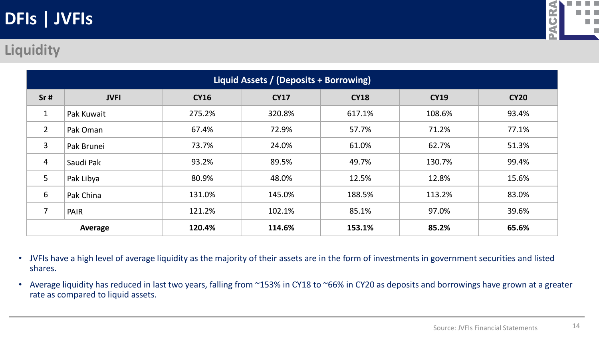

### **Liquidity**

|                | Liquid Assets / (Deposits + Borrowing) |             |             |             |             |             |  |  |  |
|----------------|----------------------------------------|-------------|-------------|-------------|-------------|-------------|--|--|--|
| Sr#            | <b>JVFI</b>                            | <b>CY16</b> | <b>CY17</b> | <b>CY18</b> | <b>CY19</b> | <b>CY20</b> |  |  |  |
| $\mathbf{1}$   | Pak Kuwait                             | 275.2%      | 320.8%      | 617.1%      | 108.6%      | 93.4%       |  |  |  |
| $\overline{2}$ | Pak Oman                               | 67.4%       | 72.9%       | 57.7%       | 71.2%       | 77.1%       |  |  |  |
| 3              | Pak Brunei                             | 73.7%       | 24.0%       | 61.0%       | 62.7%       | 51.3%       |  |  |  |
| $\overline{4}$ | Saudi Pak                              | 93.2%       | 89.5%       | 49.7%       | 130.7%      | 99.4%       |  |  |  |
| 5              | Pak Libya                              | 80.9%       | 48.0%       | 12.5%       | 12.8%       | 15.6%       |  |  |  |
| 6              | Pak China                              | 131.0%      | 145.0%      | 188.5%      | 113.2%      | 83.0%       |  |  |  |
|                | PAIR                                   | 121.2%      | 102.1%      | 85.1%       | 97.0%       | 39.6%       |  |  |  |
|                | Average                                | 120.4%      | 114.6%      | 153.1%      | 85.2%       | 65.6%       |  |  |  |

- JVFIs have a high level of average liquidity as the majority of their assets are in the form of investments in government securities and listed shares.
- Average liquidity has reduced in last two years, falling from ~153% in CY18 to ~66% in CY20 as deposits and borrowings have grown at a greater rate as compared to liquid assets.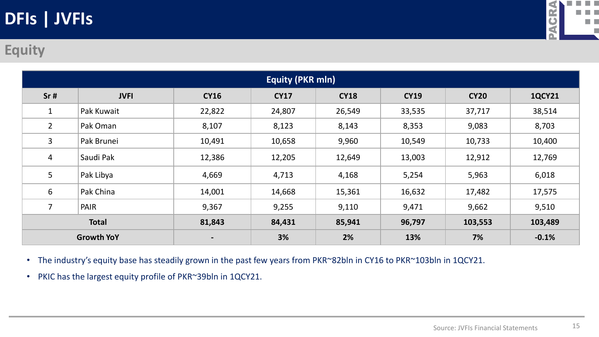

### **Equity**

|                   | <b>Equity (PKR mln)</b> |                 |             |             |             |             |               |  |  |
|-------------------|-------------------------|-----------------|-------------|-------------|-------------|-------------|---------------|--|--|
| Sr#               | <b>JVFI</b>             | <b>CY16</b>     | <b>CY17</b> | <b>CY18</b> | <b>CY19</b> | <b>CY20</b> | <b>1QCY21</b> |  |  |
|                   | Pak Kuwait              | 22,822          | 24,807      | 26,549      | 33,535      | 37,717      | 38,514        |  |  |
| $\overline{2}$    | Pak Oman                | 8,107           | 8,123       | 8,143       | 8,353       | 9,083       | 8,703         |  |  |
| 3                 | Pak Brunei              | 10,491          | 10,658      | 9,960       | 10,549      | 10,733      | 10,400        |  |  |
| 4                 | Saudi Pak               | 12,386          | 12,205      | 12,649      | 13,003      | 12,912      | 12,769        |  |  |
| 5                 | Pak Libya               | 4,669           | 4,713       | 4,168       | 5,254       | 5,963       | 6,018         |  |  |
| 6                 | Pak China               | 14,001          | 14,668      | 15,361      | 16,632      | 17,482      | 17,575        |  |  |
| 7                 | PAIR                    | 9,367           | 9,255       | 9,110       | 9,471       | 9,662       | 9,510         |  |  |
| <b>Total</b>      |                         | 81,843          | 84,431      | 85,941      | 96,797      | 103,553     | 103,489       |  |  |
| <b>Growth YoY</b> |                         | $\qquad \qquad$ | 3%          | 2%          | 13%         | 7%          | $-0.1%$       |  |  |

- The industry's equity base has steadily grown in the past few years from PKR~82bln in CY16 to PKR~103bln in 1QCY21.
- PKIC has the largest equity profile of PKR~39bln in 1QCY21.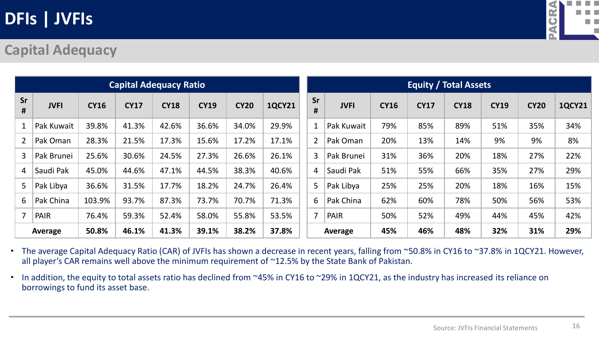

#### **Capital Adequacy**

|                |             |             |             | <b>Equity / Total Assets</b> |             |             |               |                |             |             |             |             |             |             |               |
|----------------|-------------|-------------|-------------|------------------------------|-------------|-------------|---------------|----------------|-------------|-------------|-------------|-------------|-------------|-------------|---------------|
| Sr<br>#        | <b>JVFI</b> | <b>CY16</b> | <b>CY17</b> | <b>CY18</b>                  | <b>CY19</b> | <b>CY20</b> | <b>1QCY21</b> | Sr<br>#        | <b>JVFI</b> | <b>CY16</b> | <b>CY17</b> | <b>CY18</b> | <b>CY19</b> | <b>CY20</b> | <b>1QCY21</b> |
|                | Pak Kuwait  | 39.8%       | 41.3%       | 42.6%                        | 36.6%       | 34.0%       | 29.9%         |                | Pak Kuwait  | 79%         | 85%         | 89%         | 51%         | 35%         | 34%           |
| $\overline{2}$ | Pak Oman    | 28.3%       | 21.5%       | 17.3%                        | 15.6%       | 17.2%       | 17.1%         | $\overline{2}$ | Pak Oman    | 20%         | 13%         | 14%         | 9%          | 9%          | 8%            |
| 3              | Pak Brunei  | 25.6%       | 30.6%       | 24.5%                        | 27.3%       | 26.6%       | 26.1%         | $\overline{3}$ | Pak Brunei  | 31%         | 36%         | 20%         | 18%         | 27%         | 22%           |
| $\overline{4}$ | Saudi Pak   | 45.0%       | 44.6%       | 47.1%                        | 44.5%       | 38.3%       | 40.6%         | $\overline{4}$ | Saudi Pak   | 51%         | 55%         | 66%         | 35%         | 27%         | 29%           |
| 5              | Pak Libya   | 36.6%       | 31.5%       | 17.7%                        | 18.2%       | 24.7%       | 26.4%         | 5              | Pak Libya   | 25%         | 25%         | 20%         | 18%         | 16%         | 15%           |
| 6              | Pak China   | 103.9%      | 93.7%       | 87.3%                        | 73.7%       | 70.7%       | 71.3%         | 6              | Pak China   | 62%         | 60%         | 78%         | 50%         | 56%         | 53%           |
| $\overline{7}$ | <b>PAIR</b> | 76.4%       | 59.3%       | 52.4%                        | 58.0%       | 55.8%       | 53.5%         | $\overline{7}$ | <b>PAIR</b> | 50%         | 52%         | 49%         | 44%         | 45%         | 42%           |
|                | Average     | 50.8%       | 46.1%       | 41.3%                        | 39.1%       | 38.2%       | 37.8%         |                | Average     | 45%         | 46%         | 48%         | 32%         | 31%         | 29%           |

• The average Capital Adequacy Ratio (CAR) of JVFIs has shown a decrease in recent years, falling from ~50.8% in CY16 to ~37.8% in 1QCY21. However, all player's CAR remains well above the minimum requirement of ~12.5% by the State Bank of Pakistan.

• In addition, the equity to total assets ratio has declined from ~45% in CY16 to ~29% in 1QCY21, as the industry has increased its reliance on borrowings to fund its asset base.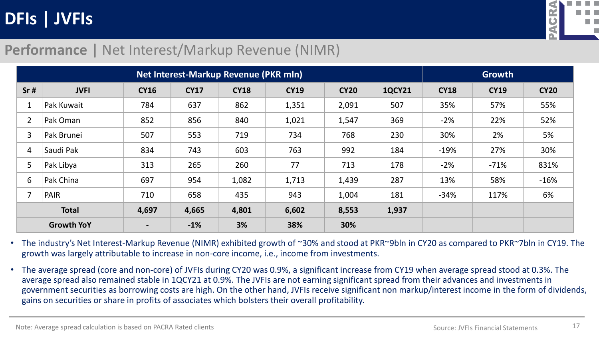

#### **Performance |** Net Interest/Markup Revenue (NIMR)

|                |                   | Growth         |             |             |             |             |               |             |             |             |
|----------------|-------------------|----------------|-------------|-------------|-------------|-------------|---------------|-------------|-------------|-------------|
| Sr#            | <b>JVFI</b>       | <b>CY16</b>    | <b>CY17</b> | <b>CY18</b> | <b>CY19</b> | <b>CY20</b> | <b>1QCY21</b> | <b>CY18</b> | <b>CY19</b> | <b>CY20</b> |
| 1              | Pak Kuwait        | 784            | 637         | 862         | 1,351       | 2,091       | 507           | 35%         | 57%         | 55%         |
| $\overline{2}$ | Pak Oman          | 852            | 856         | 840         | 1,021       | 1,547       | 369           | $-2%$       | 22%         | 52%         |
| 3              | Pak Brunei        | 507            | 553         | 719         | 734         | 768         | 230           | 30%         | 2%          | 5%          |
| $\overline{4}$ | Saudi Pak         | 834            | 743         | 603         | 763         | 992         | 184           | $-19%$      | 27%         | 30%         |
| 5              | Pak Libya         | 313            | 265         | 260         | 77          | 713         | 178           | $-2%$       | $-71%$      | 831%        |
| 6              | Pak China         | 697            | 954         | 1,082       | 1,713       | 1,439       | 287           | 13%         | 58%         | $-16%$      |
| 7              | PAIR              | 710            | 658         | 435         | 943         | 1,004       | 181           | $-34%$      | 117%        | 6%          |
|                | <b>Total</b>      | 4,697          | 4,665       | 4,801       | 6,602       | 8,553       | 1,937         |             |             |             |
|                | <b>Growth YoY</b> | $\blacksquare$ | $-1%$       | 3%          | 38%         | 30%         |               |             |             |             |

• The industry's Net Interest-Markup Revenue (NIMR) exhibited growth of ~30% and stood at PKR~9bln in CY20 as compared to PKR~7bln in CY19. The growth was largely attributable to increase in non-core income, i.e., income from investments.

• The average spread (core and non-core) of JVFIs during CY20 was 0.9%, a significant increase from CY19 when average spread stood at 0.3%. The average spread also remained stable in 1QCY21 at 0.9%. The JVFIs are not earning significant spread from their advances and investments in government securities as borrowing costs are high. On the other hand, JVFIs receive significant non markup/interest income in the form of dividends, gains on securities or share in profits of associates which bolsters their overall profitability.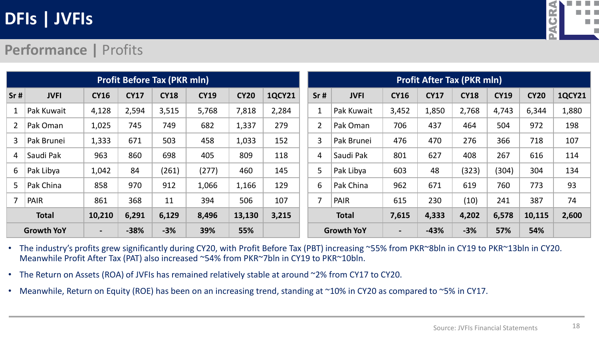

### **Performance |** Profits

|                | <b>Profit Before Tax (PKR mln)</b> |                |             |             |             |             |               |  |                | <b>Profit After Tax (PKR mln)</b> |                |             |             |             |             |               |  |
|----------------|------------------------------------|----------------|-------------|-------------|-------------|-------------|---------------|--|----------------|-----------------------------------|----------------|-------------|-------------|-------------|-------------|---------------|--|
| Sr#            | <b>JVFI</b>                        | <b>CY16</b>    | <b>CY17</b> | <b>CY18</b> | <b>CY19</b> | <b>CY20</b> | <b>1QCY21</b> |  | Sr#            | <b>JVFI</b>                       | <b>CY16</b>    | <b>CY17</b> | <b>CY18</b> | <b>CY19</b> | <b>CY20</b> | <b>1QCY21</b> |  |
|                | Pak Kuwait                         | 4,128          | 2,594       | 3,515       | 5,768       | 7,818       | 2,284         |  | $\mathbf{1}$   | Pak Kuwait                        | 3,452          | 1,850       | 2,768       | 4,743       | 6,344       | 1,880         |  |
| $\overline{2}$ | Pak Oman                           | 1,025          | 745         | 749         | 682         | 1,337       | 279           |  | $\overline{2}$ | Pak Oman                          | 706            | 437         | 464         | 504         | 972         | 198           |  |
| 3              | Pak Brunei                         | 1,333          | 671         | 503         | 458         | 1,033       | 152           |  | 3              | Pak Brunei                        | 476            | 470         | 276         | 366         | 718         | 107           |  |
| 4              | Saudi Pak                          | 963            | 860         | 698         | 405         | 809         | 118           |  | $\overline{4}$ | Saudi Pak                         | 801            | 627         | 408         | 267         | 616         | 114           |  |
| 6              | Pak Libya                          | 1,042          | 84          | (261)       | (277)       | 460         | 145           |  | 5              | Pak Libya                         | 603            | 48          | (323)       | (304)       | 304         | 134           |  |
| 5              | Pak China                          | 858            | 970         | 912         | 1,066       | 1,166       | 129           |  | 6              | Pak China                         | 962            | 671         | 619         | 760         | 773         | 93            |  |
|                | <b>PAIR</b>                        | 861            | 368         | 11          | 394         | 506         | 107           |  | $\overline{7}$ | <b>PAIR</b>                       | 615            | 230         | (10)        | 241         | 387         | 74            |  |
|                | <b>Total</b>                       | 10,210         | 6,291       | 6,129       | 8,496       | 13,130      | 3,215         |  |                | <b>Total</b>                      | 7,615          | 4,333       | 4,202       | 6,578       | 10,115      | 2,600         |  |
|                | <b>Growth YoY</b>                  | $\blacksquare$ | $-38%$      | $-3%$       | 39%         | 55%         |               |  |                | <b>Growth YoY</b>                 | $\blacksquare$ | $-43%$      | $-3%$       | 57%         | 54%         |               |  |

• The industry's profits grew significantly during CY20, with Profit Before Tax (PBT) increasing ~55% from PKR~8bln in CY19 to PKR~13bln in CY20. Meanwhile Profit After Tax (PAT) also increased ~54% from PKR~7bln in CY19 to PKR~10bln.

- The Return on Assets (ROA) of JVFIs has remained relatively stable at around ~2% from CY17 to CY20.
- Meanwhile, Return on Equity (ROE) has been on an increasing trend, standing at ~10% in CY20 as compared to ~5% in CY17.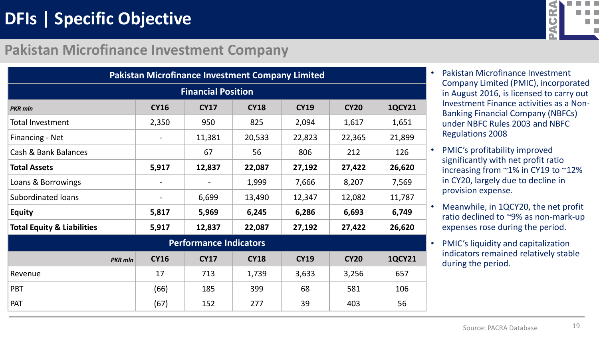# **DFIs | Specific Objective**

#### **Pakistan Microfinance Investment Company**

|                                       | <b>Pakistan Microfinance Investment Company Limited</b> |                               |             |             |             |               |  |  |  |
|---------------------------------------|---------------------------------------------------------|-------------------------------|-------------|-------------|-------------|---------------|--|--|--|
|                                       | <b>Financial Position</b>                               |                               |             |             |             |               |  |  |  |
| <b>PKR</b> mln                        | <b>CY16</b>                                             | <b>CY17</b>                   | <b>CY18</b> | <b>CY19</b> | <b>CY20</b> | <b>1QCY21</b> |  |  |  |
| <b>Total Investment</b>               | 2,350                                                   | 950                           | 825         | 2,094       | 1,617       | 1,651         |  |  |  |
| Financing - Net                       |                                                         | 11,381                        | 20,533      | 22,823      | 22,365      | 21,899        |  |  |  |
| Cash & Bank Balances                  |                                                         | 67                            | 56          | 806         | 212         | 126           |  |  |  |
| <b>Total Assets</b>                   | 5,917                                                   | 12,837                        | 22,087      | 27,192      | 27,422      | 26,620        |  |  |  |
| Loans & Borrowings                    |                                                         |                               | 1,999       | 7,666       | 8,207       | 7,569         |  |  |  |
| <b>Subordinated loans</b>             |                                                         | 6,699                         | 13,490      | 12,347      | 12,082      | 11,787        |  |  |  |
| <b>Equity</b>                         | 5,817                                                   | 5,969                         | 6,245       | 6,286       | 6,693       | 6,749         |  |  |  |
| <b>Total Equity &amp; Liabilities</b> | 5,917                                                   | 12,837                        | 22,087      | 27,192      | 27,422      | 26,620        |  |  |  |
|                                       |                                                         | <b>Performance Indicators</b> |             |             |             |               |  |  |  |
| <b>PKR</b> mln                        | <b>CY16</b>                                             | <b>CY17</b>                   | <b>CY18</b> | <b>CY19</b> | <b>CY20</b> | <b>1QCY21</b> |  |  |  |
| Revenue                               | 17                                                      | 713                           | 1,739       | 3,633       | 3,256       | 657           |  |  |  |
| <b>PBT</b>                            | (66)                                                    | 185                           | 399         | 68          | 581         | 106           |  |  |  |
| <b>PAT</b>                            | (67)                                                    | 152                           | 277         | 39          | 403         | 56            |  |  |  |



- Pakistan Microfinance Investment Company Limited (PMIC), incorporated in August 2016, is licensed to carry out Investment Finance activities as a Non-Banking Financial Company (NBFCs) under NBFC Rules 2003 and NBFC Regulations 2008
- PMIC's profitability improved significantly with net profit ratio increasing from ~1% in CY19 to ~12% in CY20, largely due to decline in provision expense.
- Meanwhile, in 1QCY20, the net profit ratio declined to ~9% as non-mark-up expenses rose during the period.
- PMIC's liquidity and capitalization indicators remained relatively stable during the period.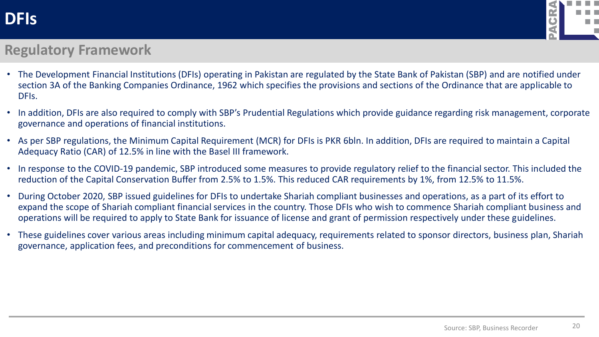

#### **Regulatory Framework**

- The Development Financial Institutions (DFIs) operating in Pakistan are regulated by the State Bank of Pakistan (SBP) and are notified under section 3A of the Banking Companies Ordinance, 1962 which specifies the provisions and sections of the Ordinance that are applicable to DFIs.
- In addition, DFIs are also required to comply with SBP's Prudential Regulations which provide guidance regarding risk management, corporate governance and operations of financial institutions.
- As per SBP regulations, the Minimum Capital Requirement (MCR) for DFIs is PKR 6bln. In addition, DFIs are required to maintain a Capital Adequacy Ratio (CAR) of 12.5% in line with the Basel III framework.
- In response to the COVID-19 pandemic, SBP introduced some measures to provide regulatory relief to the financial sector. This included the reduction of the Capital Conservation Buffer from 2.5% to 1.5%. This reduced CAR requirements by 1%, from 12.5% to 11.5%.
- During October 2020, SBP issued guidelines for DFIs to undertake Shariah compliant businesses and operations, as a part of its effort to expand the scope of Shariah compliant financial services in the country. Those DFIs who wish to commence Shariah compliant business and operations will be required to apply to State Bank for issuance of license and grant of permission respectively under these guidelines.
- These guidelines cover various areas including minimum capital adequacy, requirements related to sponsor directors, business plan, Shariah governance, application fees, and preconditions for commencement of business.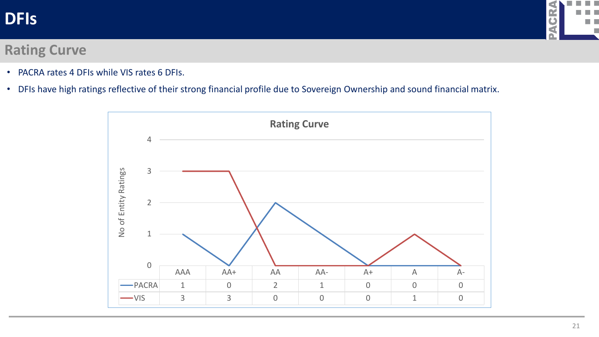### **DFIs**



#### **Rating Curve**

- PACRA rates 4 DFIs while VIS rates 6 DFIs.
- DFIs have high ratings reflective of their strong financial profile due to Sovereign Ownership and sound financial matrix.

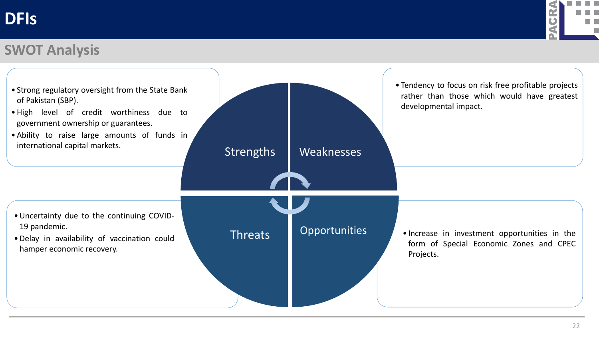### **DFIs**



### **SWOT Analysis**

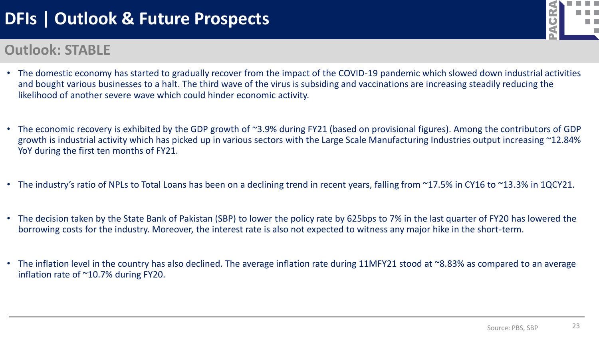### **DFIs | Outlook & Future Prospects**

### **Outlook: STABLE**

- The domestic economy has started to gradually recover from the impact of the COVID-19 pandemic which slowed down industrial activities and bought various businesses to a halt. The third wave of the virus is subsiding and vaccinations are increasing steadily reducing the likelihood of another severe wave which could hinder economic activity.
- The economic recovery is exhibited by the GDP growth of ~3.9% during FY21 (based on provisional figures). Among the contributors of GDP growth is industrial activity which has picked up in various sectors with the Large Scale Manufacturing Industries output increasing ~12.84% YoY during the first ten months of FY21.
- The industry's ratio of NPLs to Total Loans has been on a declining trend in recent years, falling from ~17.5% in CY16 to ~13.3% in 1QCY21.
- The decision taken by the State Bank of Pakistan (SBP) to lower the policy rate by 625bps to 7% in the last quarter of FY20 has lowered the borrowing costs for the industry. Moreover, the interest rate is also not expected to witness any major hike in the short-term.
- The inflation level in the country has also declined. The average inflation rate during 11MFY21 stood at ~8.83% as compared to an average inflation rate of ~10.7% during FY20.